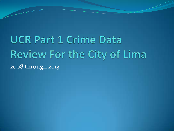**UCR Part 1 Crime Data** Review For the City of Lima 2008 through 2013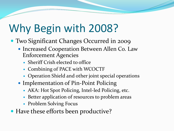# Why Begin with 2008?

- Two Significant Changes Occurred in 2009
	- Increased Cooperation Between Allen Co. Law Enforcement Agencies
		- Sheriff Crish elected to office
		- Combining of PACE with WCOCTF
		- Operation Shield and other joint special operations
	- Implementation of Pin-Point Policing
		- AKA: Hot Spot Policing, Intel-led Policing, etc.
		- Better application of resources to problem areas
		- Problem Solving Focus
- Have these efforts been productive?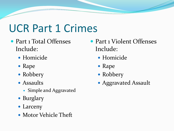# UCR Part 1 Crimes

- Part 1 Total Offenses Include:
	- Homicide
	- Rape
	- Robbery
	- Assaults
		- Simple and Aggravated
	- Burglary
	- Larceny
	- Motor Vehicle Theft
- Part 1 Violent Offenses Include:
	- Homicide
	- Rape
	- Robbery
	- Aggravated Assault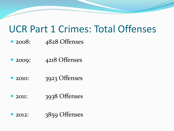#### UCR Part 1 Crimes: Total Offenses

- 2008: 4828 Offenses
- 2009: 4218 Offenses
- 2010: 3923 Offenses
- 2011: 3938 Offenses
- 2012: 3859 Offenses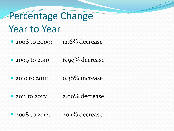# Percentage Change

#### Year to Year

• 2008 to 2009: 12.6% decrease

• 2009 to 2010: 6.99% decrease

• 2010 to 2011: 0.38% increase

• 2011 to 2012: 2.00% decrease

• 2008 to 2012:  $20.1\%$  decrease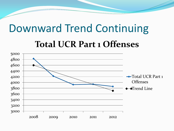### Downward Trend Continuing

#### **Total UCR Part 1 Offenses**

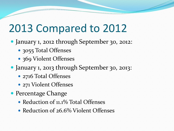# 2013 Compared to 2012

- January 1, 2012 through September 30, 2012:
	- 3055 Total Offenses
	- 369 Violent Offenses
- January 1, 2013 through September 30, 2013:
	- 2716 Total Offenses
	- 271 Violent Offenses
- Percentage Change
	- Reduction of 11.1% Total Offenses
	- Reduction of 26.6% Violent Offenses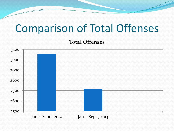### Comparison of Total Offenses

**Total Offenses**

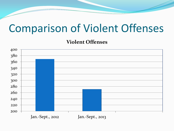### Comparison of Violent Offenses

**Violent Offenses**